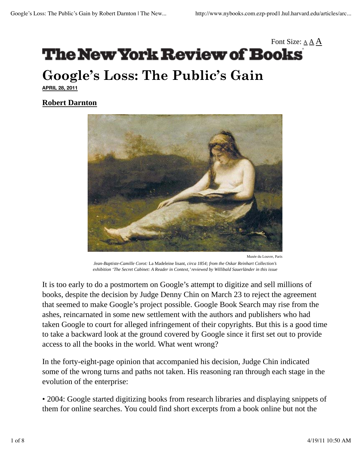## Font Size:  $A \overline{A} A$ **The New York Review of Books Google's Loss: The Public's Gain**

**APRIL 28, 2011**

## **Robert Darnton**



*Jean-Baptiste-Camille Corot:* La Madeleine lisant*, circa 1854; from the Oskar Reinhart Collection's exhibition 'The Secret Cabinet: A Reader in Context,' reviewed by Willibald Sauerländer in this issue*

It is too early to do a postmortem on Google's attempt to digitize and sell millions of books, despite the decision by Judge Denny Chin on March 23 to reject the agreement that seemed to make Google's project possible. Google Book Search may rise from the ashes, reincarnated in some new settlement with the authors and publishers who had taken Google to court for alleged infringement of their copyrights. But this is a good time to take a backward look at the ground covered by Google since it first set out to provide access to all the books in the world. What went wrong?

In the forty-eight-page opinion that accompanied his decision, Judge Chin indicated some of the wrong turns and paths not taken. His reasoning ran through each stage in the evolution of the enterprise:

• 2004: Google started digitizing books from research libraries and displaying snippets of them for online searches. You could find short excerpts from a book online but not the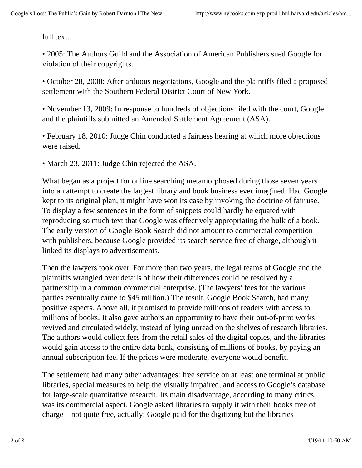full text.

• 2005: The Authors Guild and the Association of American Publishers sued Google for violation of their copyrights.

• October 28, 2008: After arduous negotiations, Google and the plaintiffs filed a proposed settlement with the Southern Federal District Court of New York.

• November 13, 2009: In response to hundreds of objections filed with the court, Google and the plaintiffs submitted an Amended Settlement Agreement (ASA).

• February 18, 2010: Judge Chin conducted a fairness hearing at which more objections were raised.

• March 23, 2011: Judge Chin rejected the ASA.

What began as a project for online searching metamorphosed during those seven years into an attempt to create the largest library and book business ever imagined. Had Google kept to its original plan, it might have won its case by invoking the doctrine of fair use. To display a few sentences in the form of snippets could hardly be equated with reproducing so much text that Google was effectively appropriating the bulk of a book. The early version of Google Book Search did not amount to commercial competition with publishers, because Google provided its search service free of charge, although it linked its displays to advertisements.

Then the lawyers took over. For more than two years, the legal teams of Google and the plaintiffs wrangled over details of how their differences could be resolved by a partnership in a common commercial enterprise. (The lawyers' fees for the various parties eventually came to \$45 million.) The result, Google Book Search, had many positive aspects. Above all, it promised to provide millions of readers with access to millions of books. It also gave authors an opportunity to have their out-of-print works revived and circulated widely, instead of lying unread on the shelves of research libraries. The authors would collect fees from the retail sales of the digital copies, and the libraries would gain access to the entire data bank, consisting of millions of books, by paying an annual subscription fee. If the prices were moderate, everyone would benefit.

The settlement had many other advantages: free service on at least one terminal at public libraries, special measures to help the visually impaired, and access to Google's database for large-scale quantitative research. Its main disadvantage, according to many critics, was its commercial aspect. Google asked libraries to supply it with their books free of charge—not quite free, actually: Google paid for the digitizing but the libraries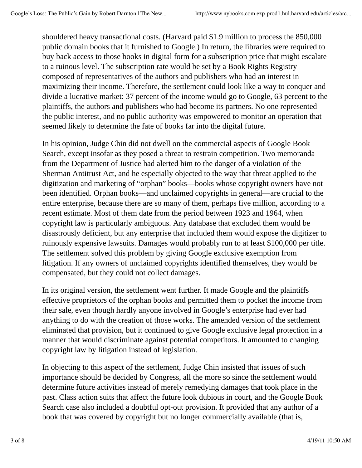shouldered heavy transactional costs. (Harvard paid \$1.9 million to process the 850,000 public domain books that it furnished to Google.) In return, the libraries were required to buy back access to those books in digital form for a subscription price that might escalate to a ruinous level. The subscription rate would be set by a Book Rights Registry composed of representatives of the authors and publishers who had an interest in maximizing their income. Therefore, the settlement could look like a way to conquer and divide a lucrative market: 37 percent of the income would go to Google, 63 percent to the plaintiffs, the authors and publishers who had become its partners. No one represented the public interest, and no public authority was empowered to monitor an operation that seemed likely to determine the fate of books far into the digital future.

In his opinion, Judge Chin did not dwell on the commercial aspects of Google Book Search, except insofar as they posed a threat to restrain competition. Two memoranda from the Department of Justice had alerted him to the danger of a violation of the Sherman Antitrust Act, and he especially objected to the way that threat applied to the digitization and marketing of "orphan" books—books whose copyright owners have not been identified. Orphan books—and unclaimed copyrights in general—are crucial to the entire enterprise, because there are so many of them, perhaps five million, according to a recent estimate. Most of them date from the period between 1923 and 1964, when copyright law is particularly ambiguous. Any database that excluded them would be disastrously deficient, but any enterprise that included them would expose the digitizer to ruinously expensive lawsuits. Damages would probably run to at least \$100,000 per title. The settlement solved this problem by giving Google exclusive exemption from litigation. If any owners of unclaimed copyrights identified themselves, they would be compensated, but they could not collect damages.

In its original version, the settlement went further. It made Google and the plaintiffs effective proprietors of the orphan books and permitted them to pocket the income from their sale, even though hardly anyone involved in Google's enterprise had ever had anything to do with the creation of those works. The amended version of the settlement eliminated that provision, but it continued to give Google exclusive legal protection in a manner that would discriminate against potential competitors. It amounted to changing copyright law by litigation instead of legislation.

In objecting to this aspect of the settlement, Judge Chin insisted that issues of such importance should be decided by Congress, all the more so since the settlement would determine future activities instead of merely remedying damages that took place in the past. Class action suits that affect the future look dubious in court, and the Google Book Search case also included a doubtful opt-out provision. It provided that any author of a book that was covered by copyright but no longer commercially available (that is,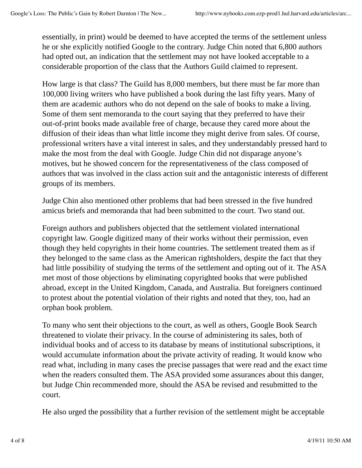essentially, in print) would be deemed to have accepted the terms of the settlement unless he or she explicitly notified Google to the contrary. Judge Chin noted that 6,800 authors had opted out, an indication that the settlement may not have looked acceptable to a considerable proportion of the class that the Authors Guild claimed to represent.

How large is that class? The Guild has 8,000 members, but there must be far more than 100,000 living writers who have published a book during the last fifty years. Many of them are academic authors who do not depend on the sale of books to make a living. Some of them sent memoranda to the court saying that they preferred to have their out-of-print books made available free of charge, because they cared more about the diffusion of their ideas than what little income they might derive from sales. Of course, professional writers have a vital interest in sales, and they understandably pressed hard to make the most from the deal with Google. Judge Chin did not disparage anyone's motives, but he showed concern for the representativeness of the class composed of authors that was involved in the class action suit and the antagonistic interests of different groups of its members.

Judge Chin also mentioned other problems that had been stressed in the five hundred amicus briefs and memoranda that had been submitted to the court. Two stand out.

Foreign authors and publishers objected that the settlement violated international copyright law. Google digitized many of their works without their permission, even though they held copyrights in their home countries. The settlement treated them as if they belonged to the same class as the American rightsholders, despite the fact that they had little possibility of studying the terms of the settlement and opting out of it. The ASA met most of those objections by eliminating copyrighted books that were published abroad, except in the United Kingdom, Canada, and Australia. But foreigners continued to protest about the potential violation of their rights and noted that they, too, had an orphan book problem.

To many who sent their objections to the court, as well as others, Google Book Search threatened to violate their privacy. In the course of administering its sales, both of individual books and of access to its database by means of institutional subscriptions, it would accumulate information about the private activity of reading. It would know who read what, including in many cases the precise passages that were read and the exact time when the readers consulted them. The ASA provided some assurances about this danger, but Judge Chin recommended more, should the ASA be revised and resubmitted to the court.

He also urged the possibility that a further revision of the settlement might be acceptable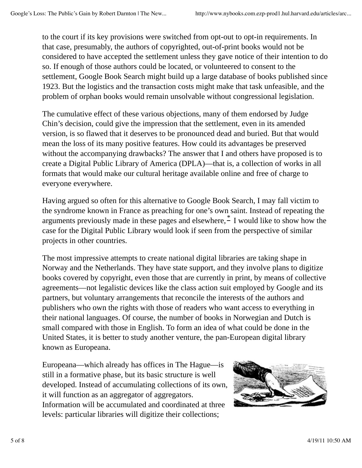to the court if its key provisions were switched from opt-out to opt-in requirements. In that case, presumably, the authors of copyrighted, out-of-print books would not be considered to have accepted the settlement unless they gave notice of their intention to do so. If enough of those authors could be located, or volunteered to consent to the settlement, Google Book Search might build up a large database of books published since 1923. But the logistics and the transaction costs might make that task unfeasible, and the problem of orphan books would remain unsolvable without congressional legislation.

The cumulative effect of these various objections, many of them endorsed by Judge Chin's decision, could give the impression that the settlement, even in its amended version, is so flawed that it deserves to be pronounced dead and buried. But that would mean the loss of its many positive features. How could its advantages be preserved without the accompanying drawbacks? The answer that I and others have proposed is to create a Digital Public Library of America (DPLA)—that is, a collection of works in all formats that would make our cultural heritage available online and free of charge to everyone everywhere.

Having argued so often for this alternative to Google Book Search, I may fall victim to the syndrome known in France as preaching for one's own saint. Instead of repeating the arguments previously made in these pages and elsewhere, \* I would like to show how the case for the Digital Public Library would look if seen from the perspective of similar projects in other countries.

The most impressive attempts to create national digital libraries are taking shape in Norway and the Netherlands. They have state support, and they involve plans to digitize books covered by copyright, even those that are currently in print, by means of collective agreements—not legalistic devices like the class action suit employed by Google and its partners, but voluntary arrangements that reconcile the interests of the authors and publishers who own the rights with those of readers who want access to everything in their national languages. Of course, the number of books in Norwegian and Dutch is small compared with those in English. To form an idea of what could be done in the United States, it is better to study another venture, the pan-European digital library known as Europeana.

Europeana—which already has offices in The Hague—is still in a formative phase, but its basic structure is well developed. Instead of accumulating collections of its own, it will function as an aggregator of aggregators. Information will be accumulated and coordinated at three levels: particular libraries will digitize their collections;

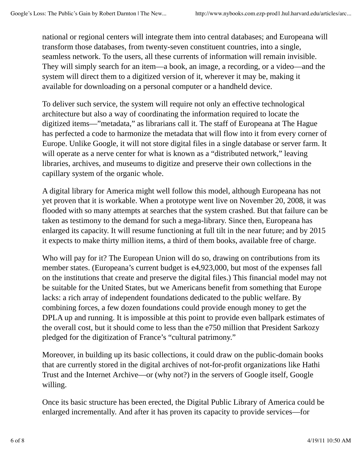national or regional centers will integrate them into central databases; and Europeana will transform those databases, from twenty-seven constituent countries, into a single, seamless network. To the users, all these currents of information will remain invisible. They will simply search for an item—a book, an image, a recording, or a video—and the system will direct them to a digitized version of it, wherever it may be, making it available for downloading on a personal computer or a handheld device.

To deliver such service, the system will require not only an effective technological architecture but also a way of coordinating the information required to locate the digitized items—"metadata," as librarians call it. The staff of Europeana at The Hague has perfected a code to harmonize the metadata that will flow into it from every corner of Europe. Unlike Google, it will not store digital files in a single database or server farm. It will operate as a nerve center for what is known as a "distributed network," leaving libraries, archives, and museums to digitize and preserve their own collections in the capillary system of the organic whole.

A digital library for America might well follow this model, although Europeana has not yet proven that it is workable. When a prototype went live on November 20, 2008, it was flooded with so many attempts at searches that the system crashed. But that failure can be taken as testimony to the demand for such a mega-library. Since then, Europeana has enlarged its capacity. It will resume functioning at full tilt in the near future; and by 2015 it expects to make thirty million items, a third of them books, available free of charge.

Who will pay for it? The European Union will do so, drawing on contributions from its member states. (Europeana's current budget is e4,923,000, but most of the expenses fall on the institutions that create and preserve the digital files.) This financial model may not be suitable for the United States, but we Americans benefit from something that Europe lacks: a rich array of independent foundations dedicated to the public welfare. By combining forces, a few dozen foundations could provide enough money to get the DPLA up and running. It is impossible at this point to provide even ballpark estimates of the overall cost, but it should come to less than the e750 million that President Sarkozy pledged for the digitization of France's "cultural patrimony."

Moreover, in building up its basic collections, it could draw on the public-domain books that are currently stored in the digital archives of not-for-profit organizations like Hathi Trust and the Internet Archive—or (why not?) in the servers of Google itself, Google willing.

Once its basic structure has been erected, the Digital Public Library of America could be enlarged incrementally. And after it has proven its capacity to provide services—for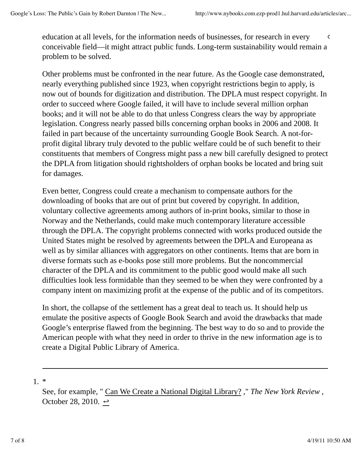education at all levels, for the information needs of businesses, for research in every conceivable field—it might attract public funds. Long-term sustainability would remain a problem to be solved. C

Other problems must be confronted in the near future. As the Google case demonstrated, nearly everything published since 1923, when copyright restrictions begin to apply, is now out of bounds for digitization and distribution. The DPLA must respect copyright. In order to succeed where Google failed, it will have to include several million orphan books; and it will not be able to do that unless Congress clears the way by appropriate legislation. Congress nearly passed bills concerning orphan books in 2006 and 2008. It failed in part because of the uncertainty surrounding Google Book Search. A not-forprofit digital library truly devoted to the public welfare could be of such benefit to their constituents that members of Congress might pass a new bill carefully designed to protect the DPLA from litigation should rightsholders of orphan books be located and bring suit for damages.

Even better, Congress could create a mechanism to compensate authors for the downloading of books that are out of print but covered by copyright. In addition, voluntary collective agreements among authors of in-print books, similar to those in Norway and the Netherlands, could make much contemporary literature accessible through the DPLA. The copyright problems connected with works produced outside the United States might be resolved by agreements between the DPLA and Europeana as well as by similar alliances with aggregators on other continents. Items that are born in diverse formats such as e-books pose still more problems. But the noncommercial character of the DPLA and its commitment to the public good would make all such difficulties look less formidable than they seemed to be when they were confronted by a company intent on maximizing profit at the expense of the public and of its competitors.

In short, the collapse of the settlement has a great deal to teach us. It should help us emulate the positive aspects of Google Book Search and avoid the drawbacks that made Google's enterprise flawed from the beginning. The best way to do so and to provide the American people with what they need in order to thrive in the new information age is to create a Digital Public Library of America.

\* 1.

See, for example, " Can We Create a National Digital Library? ," *The New York Review* , October 28, 2010.  $\rightleftarrows$